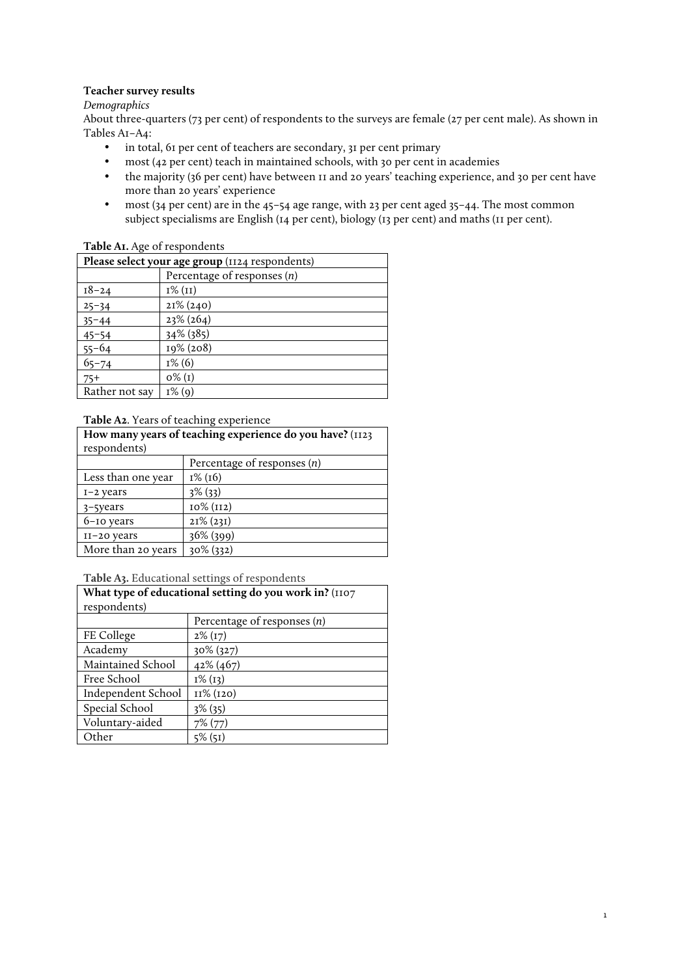# **Teacher survey results**

## *Demographics*

About three-quarters (73 per cent) of respondents to the surveys are female (27 per cent male). As shown in Tables A1–A4:

- in total, 61 per cent of teachers are secondary, 31 per cent primary
- most (42 per cent) teach in maintained schools, with 30 per cent in academies<br>• the maiority (36 per cent) have between II and 20 years' teaching experience, a
- the majority (36 per cent) have between 11 and 20 years' teaching experience, and 30 per cent have more than 20 years' experience

1

• most (34 per cent) are in the 45–54 age range, with 23 per cent aged 35–44. The most common subject specialisms are English (14 per cent), biology (13 per cent) and maths (11 per cent).

**Table A1.** Age of respondents

| Please select your age group (1124 respondents) |                               |
|-------------------------------------------------|-------------------------------|
|                                                 | Percentage of responses $(n)$ |
| $18 - 24$                                       | $I\%$ (II)                    |
| $25 - 34$                                       | $2I\%$ (240)                  |
| $35 - 44$                                       | 23% (264)                     |
| $45 - 54$                                       | 34% (385)                     |
| $55 - 64$                                       | 19% (208)                     |
| $65 - 74$                                       | $I\%$ (6)                     |
| $75+$                                           | $0\%$ (I)                     |
| Rather not say                                  | $I\%$ (9)                     |

**Table A2**. Years of teaching experience

| How many years of teaching experience do you have? (1123) |                               |  |
|-----------------------------------------------------------|-------------------------------|--|
| respondents)                                              |                               |  |
|                                                           | Percentage of responses $(n)$ |  |
| Less than one year                                        | $I\% (16)$                    |  |
| $I-2$ years                                               | $3\%$ (33)                    |  |
| 3-5years                                                  | 10% (112)                     |  |
| $6$ -10 years                                             | $2I\%$ (23I)                  |  |
| $II - 20$ years                                           | $36\%$ (399)                  |  |
| More than 20 years                                        | $30\%$ (332)                  |  |

**Table A3.** Educational settings of respondents

| What type of educational setting do you work in? (IIO7 |                               |  |
|--------------------------------------------------------|-------------------------------|--|
| respondents)                                           |                               |  |
|                                                        | Percentage of responses $(n)$ |  |
| FE College                                             | $2\%$ (17)                    |  |
| Academy                                                | 30% (327)                     |  |
| Maintained School                                      | 42% (467)                     |  |
| Free School                                            | $I\%$ (13)                    |  |
| Independent School                                     | II% (120)                     |  |
| Special School                                         | $3\%$ (35)                    |  |
| Voluntary-aided                                        | $7\%$ $(77)$                  |  |
| Other                                                  | $5\%$ (51)                    |  |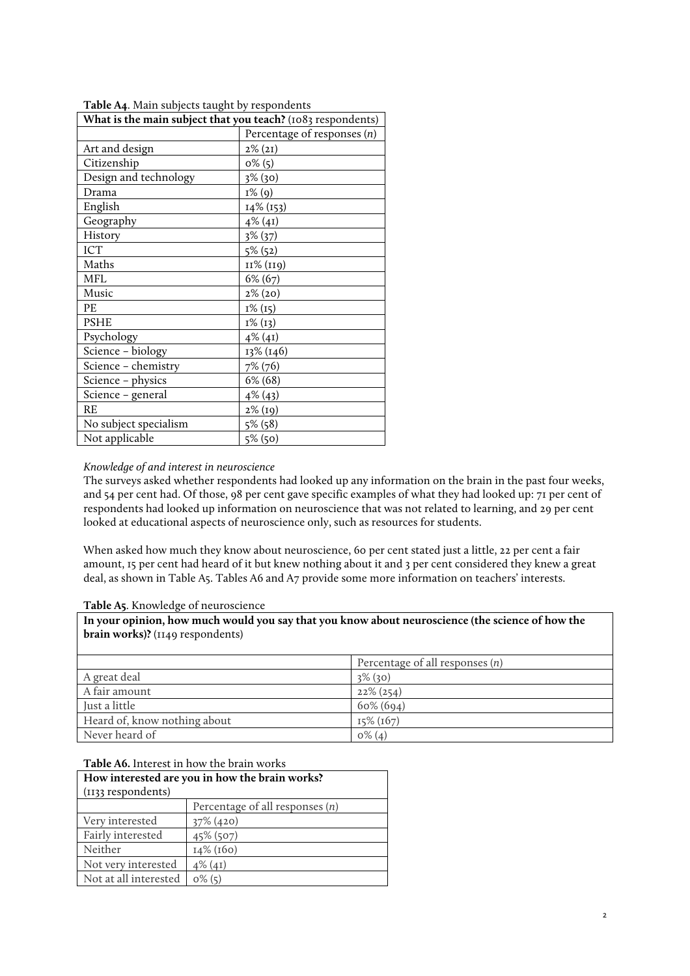| What is the main subject that you teach? (1083 respondents) |                               |  |
|-------------------------------------------------------------|-------------------------------|--|
|                                                             | Percentage of responses $(n)$ |  |
| Art and design                                              | $2\% (2I)$                    |  |
| Citizenship                                                 | $0\%$ (5)                     |  |
| Design and technology                                       | $3\%$ (30)                    |  |
| Drama                                                       | $I\%$ (9)                     |  |
| English                                                     | 14% (153)                     |  |
| Geography                                                   | $4\%$ (41)                    |  |
| History                                                     | $3\%$ (37)                    |  |
| <b>ICT</b>                                                  | $5\%$ (52)                    |  |
| Maths                                                       | 11% (119)                     |  |
| MFL                                                         | $6\% (67)$                    |  |
| Music                                                       | 2% (20)                       |  |
| PE                                                          | $I\%$ (15)                    |  |
| <b>PSHE</b>                                                 | $I\%$ (13)                    |  |
| Psychology                                                  | $4\%$ (41)                    |  |
| Science - biology                                           | 13% (146)                     |  |
| Science - chemistry                                         | 7% (76)                       |  |
| Science - physics                                           | $6\%$ (68)                    |  |
| Science - general                                           | 4% (43)                       |  |
| RE                                                          | 2% (19)                       |  |
| No subject specialism                                       | 5% (58)                       |  |
| Not applicable                                              | 5% (50)                       |  |

**Table A4**. Main subjects taught by respondents

## *Knowledge of and interest in neuroscience*

The surveys asked whether respondents had looked up any information on the brain in the past four weeks, and 54 per cent had. Of those, 98 per cent gave specific examples of what they had looked up: 71 per cent of respondents had looked up information on neuroscience that was not related to learning, and 29 per cent looked at educational aspects of neuroscience only, such as resources for students.

When asked how much they know about neuroscience, 60 per cent stated just a little, 22 per cent a fair amount, 15 per cent had heard of it but knew nothing about it and 3 per cent considered they knew a great deal, as shown in Table A5. Tables A6 and A7 provide some more information on teachers' interests.

#### **Table A5**. Knowledge of neuroscience

**In your opinion, how much would you say that you know about neuroscience (the science of how the brain works)?** (1149 respondents)

|                              | Percentage of all responses $(n)$ |
|------------------------------|-----------------------------------|
| A great deal                 | $3\%$ (30)                        |
| A fair amount                | $22\%$ (254)                      |
| Just a little                | $60\% (694)$                      |
| Heard of, know nothing about | $15\%$ (167)                      |
| Never heard of               | $0\%$ (4)                         |

**Table A6.** Interest in how the brain works

| How interested are you in how the brain works? |                                   |  |
|------------------------------------------------|-----------------------------------|--|
| (1133 respondents)                             |                                   |  |
|                                                | Percentage of all responses $(n)$ |  |
| Very interested                                | $37\%$ (420)                      |  |
| Fairly interested                              | 45% (507)                         |  |
| Neither                                        | 14% (160)                         |  |
| Not very interested                            | $4\%$ (41)                        |  |
| Not at all interested                          | $0\%$ (5)                         |  |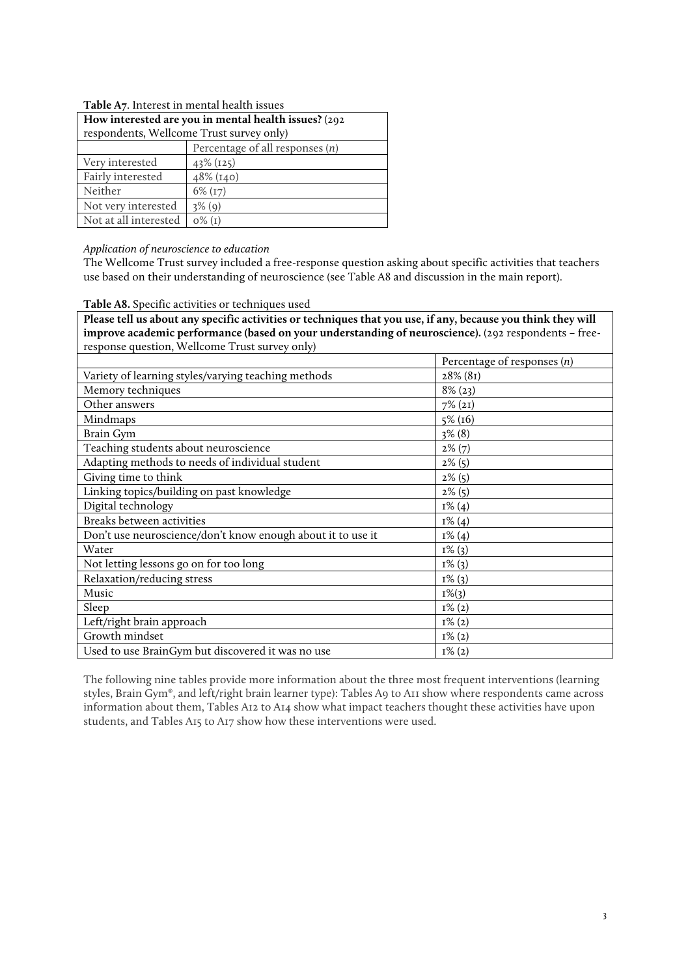| <b>Table</b> <i>IV</i> , mitchest in memal neam issues |                                   |  |
|--------------------------------------------------------|-----------------------------------|--|
| How interested are you in mental health issues? (292   |                                   |  |
| respondents, Wellcome Trust survey only)               |                                   |  |
|                                                        | Percentage of all responses $(n)$ |  |
| Very interested                                        | 43% (125)                         |  |
| Fairly interested                                      | 48% (140)                         |  |
| Neither                                                | $6\%$ (17)                        |  |
| Not very interested                                    | $3\%$ (9)                         |  |
| Not at all interested                                  | $0\%$ (I)                         |  |

### **Table A7**. Interest in mental health issues

#### *Application of neuroscience to education*

The Wellcome Trust survey included a free-response question asking about specific activities that teachers use based on their understanding of neuroscience (see Table A8 and discussion in the main report).

### **Table A8.** Specific activities or techniques used

**Please tell us about any specific activities or techniques that you use, if any, because you think they will improve academic performance (based on your understanding of neuroscience).** (292 respondents – freeresponse question, Wellcome Trust survey only)

|                                                             | Percentage of responses $(n)$ |
|-------------------------------------------------------------|-------------------------------|
| Variety of learning styles/varying teaching methods         | 28% (81)                      |
| Memory techniques                                           | $8\%$ (23)                    |
| Other answers                                               | $7\%$ (21)                    |
| Mindmaps                                                    | $5\%$ (16)                    |
| Brain Gym                                                   | $3\%$ (8)                     |
| Teaching students about neuroscience                        | $2\%$ $(7)$                   |
| Adapting methods to needs of individual student             | $2\%$ (5)                     |
| Giving time to think                                        | $2\%$ (5)                     |
| Linking topics/building on past knowledge                   | $2\%$ (5)                     |
| Digital technology                                          | $I\%$ (4)                     |
| Breaks between activities                                   | $I\% (4)$                     |
| Don't use neuroscience/don't know enough about it to use it | $I\% (4)$                     |
| Water                                                       | $I\%$ (3)                     |
| Not letting lessons go on for too long                      | $I\%$ $(3)$                   |
| Relaxation/reducing stress                                  | $I\%$ (3)                     |
| Music                                                       | $I\%$ (3)                     |
| Sleep                                                       | $I\% (2)$                     |
| Left/right brain approach                                   | $I\% (2)$                     |
| Growth mindset                                              | $I\% (2)$                     |
| Used to use BrainGym but discovered it was no use           | $I\% (2)$                     |

The following nine tables provide more information about the three most frequent interventions (learning styles, Brain Gym®, and left/right brain learner type): Tables A9 to A11 show where respondents came across information about them, Tables A12 to A14 show what impact teachers thought these activities have upon students, and Tables A15 to A17 show how these interventions were used.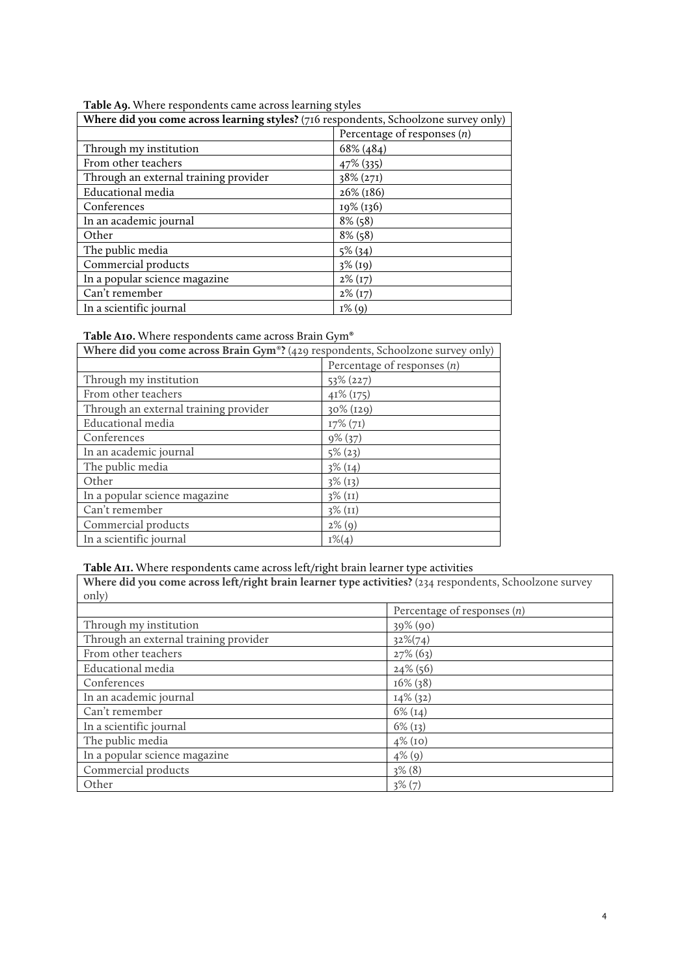| Table A9. Where respondents came across learning styles |  |
|---------------------------------------------------------|--|
|                                                         |  |

| Where did you come across learning styles? (716 respondents, Schoolzone survey only) |                               |  |
|--------------------------------------------------------------------------------------|-------------------------------|--|
|                                                                                      | Percentage of responses $(n)$ |  |
| Through my institution                                                               | 68% (484)                     |  |
| From other teachers                                                                  | 47% (335)                     |  |
| Through an external training provider                                                | 38% (271)                     |  |
| Educational media                                                                    | 26% (186)                     |  |
| Conferences                                                                          | 19% (136)                     |  |
| In an academic journal                                                               | $8\%$ (58)                    |  |
| Other                                                                                | $8\%$ (58)                    |  |
| The public media                                                                     | $5\%$ (34)                    |  |
| Commercial products                                                                  | $3\%$ (19)                    |  |
| In a popular science magazine                                                        | $2\%$ (17)                    |  |
| Can't remember                                                                       | $2\%$ (17)                    |  |
| In a scientific journal                                                              | $I\%$ (9)                     |  |

## **Table A10.** Where respondents came across Brain Gym**®**

| Where did you come across Brain $Gym^{\circ}$ ? (429 respondents, Schoolzone survey only) |                               |  |
|-------------------------------------------------------------------------------------------|-------------------------------|--|
|                                                                                           | Percentage of responses $(n)$ |  |
| Through my institution                                                                    | $53\%$ (227)                  |  |
| From other teachers                                                                       | $41\%$ (175)                  |  |
| Through an external training provider                                                     | 30% (129)                     |  |
| Educational media                                                                         | $17\% (71)$                   |  |
| Conferences                                                                               | $9\%$ (37)                    |  |
| In an academic journal                                                                    | $5\%$ (23)                    |  |
| The public media                                                                          | $3\%$ (14)                    |  |
| Other                                                                                     | $3\%$ (13)                    |  |
| In a popular science magazine                                                             | $3\%$ (II)                    |  |
| Can't remember                                                                            | $3\%$ (II)                    |  |
| Commercial products                                                                       | $2\%$ (9)                     |  |
| In a scientific journal                                                                   | $I\%(4)$                      |  |

#### **Table A11.** Where respondents came across left/right brain learner type activities

**Where did you come across left/right brain learner type activities?** (234 respondents, Schoolzone survey only)

| VIIIY                                 |                               |
|---------------------------------------|-------------------------------|
|                                       | Percentage of responses $(n)$ |
| Through my institution                | $39\%$ (90)                   |
| Through an external training provider | $32\%(74)$                    |
| From other teachers                   | $27\%$ (63)                   |
| Educational media                     | $24\%$ (56)                   |
| Conferences                           | $16\%$ (38)                   |
| In an academic journal                | $I4\%$ (32)                   |
| Can't remember                        | $6\%$ (14)                    |
| In a scientific journal               | $6\%$ (13)                    |
| The public media                      | $4\%$ (10)                    |
| In a popular science magazine         | $4\%$ (9)                     |
| Commercial products                   | $3\%$ (8)                     |
| Other                                 | $3\%$ $(7)$                   |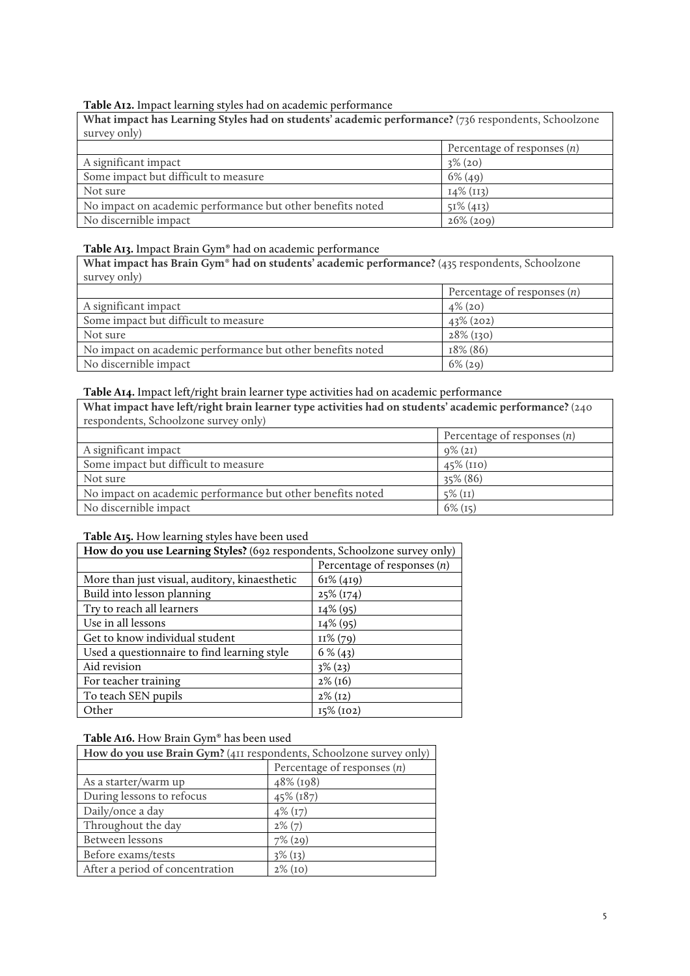## **Table A12.** Impact learning styles had on academic performance

**What impact has Learning Styles had on students' academic performance?** (736 respondents, Schoolzone survey only)

|                                                            | Percentage of responses $(n)$ |
|------------------------------------------------------------|-------------------------------|
| A significant impact                                       | $3\%$ (20)                    |
| Some impact but difficult to measure                       | $6\%$ (49)                    |
| Not sure                                                   | $I4\% (II3)$                  |
| No impact on academic performance but other benefits noted | $51\% (413)$                  |
| No discernible impact                                      | $26\%$ (200)                  |

## **Table A13.** Impact Brain Gym® had on academic performance

**What impact has Brain Gym® had on students' academic performance?** (435 respondents, Schoolzone survey only)

|                                                            | Percentage of responses $(n)$ |
|------------------------------------------------------------|-------------------------------|
| A significant impact                                       | $4\%$ (20)                    |
| Some impact but difficult to measure                       | $43\%$ (202)                  |
| Not sure                                                   | $28\%$ (130)                  |
| No impact on academic performance but other benefits noted | $18\%$ (86)                   |
| No discernible impact                                      | $6\%$ (20)                    |

## **Table A14.** Impact left/right brain learner type activities had on academic performance

**What impact have left/right brain learner type activities had on students' academic performance?** (240 respondents, Schoolzone survey only)

|                                                            | Percentage of responses $(n)$ |
|------------------------------------------------------------|-------------------------------|
| A significant impact                                       | $9\%$ (21)                    |
| Some impact but difficult to measure                       | $45\%$ (IIO)                  |
| Not sure                                                   | $35\% (86)$                   |
| No impact on academic performance but other benefits noted | $5\%$ (II)                    |
| No discernible impact                                      | $6\%$ (15)                    |

### **Table A15.** How learning styles have been used

| How do you use Learning Styles? (692 respondents, Schoolzone survey only) |                               |  |
|---------------------------------------------------------------------------|-------------------------------|--|
|                                                                           | Percentage of responses $(n)$ |  |
| More than just visual, auditory, kinaesthetic                             | $61\%$ (419)                  |  |
| Build into lesson planning                                                | 25% (174)                     |  |
| Try to reach all learners                                                 | $I4\%$ (95)                   |  |
| Use in all lessons                                                        | $I4\%$ (95)                   |  |
| Get to know individual student                                            | $II\%$ (79)                   |  |
| Used a questionnaire to find learning style                               | $6\%$ (43)                    |  |
| Aid revision                                                              | $3\%$ (23)                    |  |
| For teacher training                                                      | $2\%$ (16)                    |  |
| To teach SEN pupils                                                       | $2\%$ (12)                    |  |
| Other                                                                     | $15\%$ (102)                  |  |

### **Table A16.** How Brain Gym® has been used

| How do you use Brain Gym? (4II respondents, Schoolzone survey only) |                               |  |
|---------------------------------------------------------------------|-------------------------------|--|
|                                                                     | Percentage of responses $(n)$ |  |
| As a starter/warm up                                                | 48% (198)                     |  |
| During lessons to refocus                                           | 45% (187)                     |  |
| Daily/once a day                                                    | $4\%$ (17)                    |  |
| Throughout the day                                                  | $2\%$ (7)                     |  |
| Between lessons                                                     | $7\%$ (29)                    |  |
| Before exams/tests                                                  | $3\%$ (13)                    |  |
| After a period of concentration                                     | $2\%$ (10)                    |  |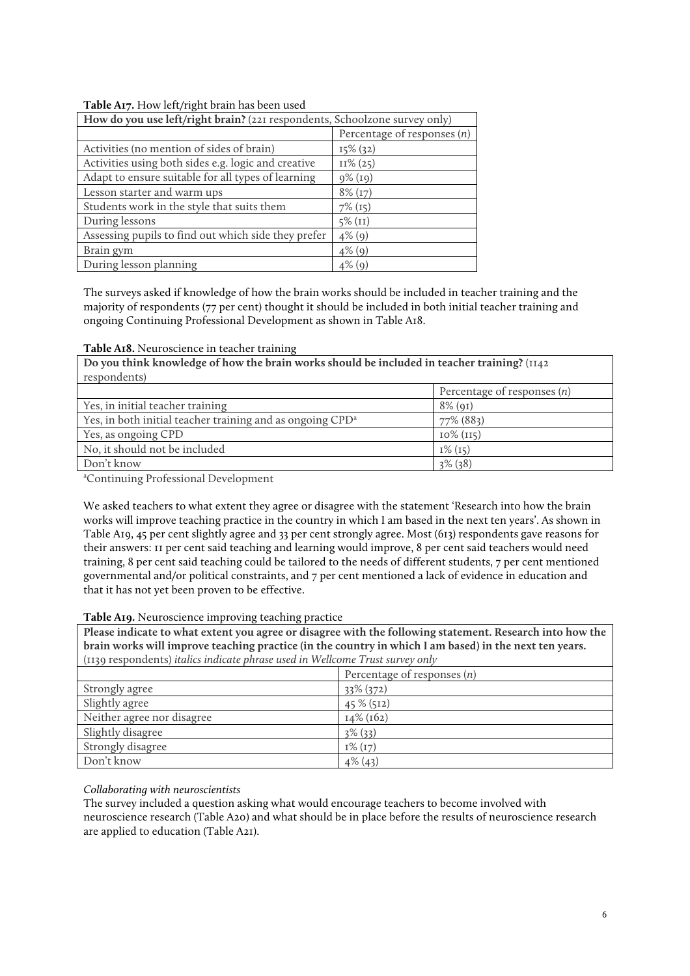## **Table A17.** How left/right brain has been used

| How do you use left/right brain? (221 respondents, Schoolzone survey only) |                               |
|----------------------------------------------------------------------------|-------------------------------|
|                                                                            | Percentage of responses $(n)$ |
| Activities (no mention of sides of brain)                                  | $15\%$ (32)                   |
| Activities using both sides e.g. logic and creative                        | $II\%$ (25)                   |
| Adapt to ensure suitable for all types of learning                         | $9\%$ (19)                    |
| Lesson starter and warm ups                                                | $8\%$ (17)                    |
| Students work in the style that suits them                                 | $7\%$ (15)                    |
| During lessons                                                             | $5\%$ (II)                    |
| Assessing pupils to find out which side they prefer                        | $4\%$ (9)                     |
| Brain gym                                                                  | $4\%$ (9)                     |
| During lesson planning                                                     | $4\%$ (9)                     |

The surveys asked if knowledge of how the brain works should be included in teacher training and the majority of respondents (77 per cent) thought it should be included in both initial teacher training and ongoing Continuing Professional Development as shown in Table A18.

#### **Table A18.** Neuroscience in teacher training

**Do you think knowledge of how the brain works should be included in teacher training?** (1142 respondents)

|                                                                       | Percentage of responses $(n)$ |
|-----------------------------------------------------------------------|-------------------------------|
| Yes, in initial teacher training                                      | $8\%$ (91)                    |
| Yes, in both initial teacher training and as ongoing CPD <sup>a</sup> | 77% (883)                     |
| Yes, as ongoing CPD                                                   | $10\%$ ( $115$ )              |
| No, it should not be included                                         | $I\%$ (15)                    |
| Don't know                                                            | $3\%$ (38)                    |
|                                                                       |                               |

a Continuing Professional Development

We asked teachers to what extent they agree or disagree with the statement 'Research into how the brain works will improve teaching practice in the country in which I am based in the next ten years'. As shown in Table A19, 45 per cent slightly agree and 33 per cent strongly agree. Most (613) respondents gave reasons for their answers: 11 per cent said teaching and learning would improve, 8 per cent said teachers would need training, 8 per cent said teaching could be tailored to the needs of different students, 7 per cent mentioned governmental and/or political constraints, and 7 per cent mentioned a lack of evidence in education and that it has not yet been proven to be effective.

#### **Table A19.** Neuroscience improving teaching practice

**Please indicate to what extent you agree or disagree with the following statement. Research into how the brain works will improve teaching practice (in the country in which I am based) in the next ten years.** (1139 respondents) *italics indicate phrase used in Wellcome Trust survey only*

| $\left(11\right)$ respondence, added material parase ased in $\left(1\right)$ and $\left(2\right)$ only |                               |  |
|---------------------------------------------------------------------------------------------------------|-------------------------------|--|
|                                                                                                         | Percentage of responses $(n)$ |  |
| Strongly agree                                                                                          | $33\%$ (372)                  |  |
| Slightly agree                                                                                          | $45\%$ (512)                  |  |
| Neither agree nor disagree                                                                              | $I4\% (I62)$                  |  |
| Slightly disagree                                                                                       | $3\%$ (33)                    |  |
| Strongly disagree                                                                                       | $I\%$ (17)                    |  |
| Don't know                                                                                              | $4\%$ (43)                    |  |

### *Collaborating with neuroscientists*

The survey included a question asking what would encourage teachers to become involved with neuroscience research (Table A20) and what should be in place before the results of neuroscience research are applied to education (Table A21).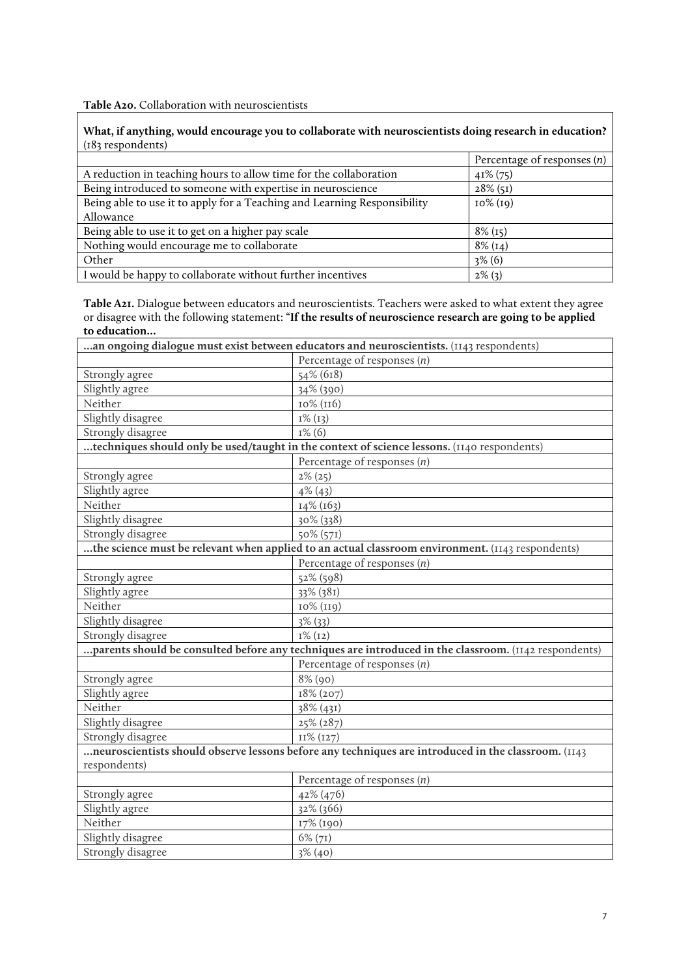**Table A20.** Collaboration with neuroscientists

**What, if anything, would encourage you to collaborate with neuroscientists doing research in education?** (183 respondents)

|                                                                          | Percentage of responses $(n)$ |
|--------------------------------------------------------------------------|-------------------------------|
| A reduction in teaching hours to allow time for the collaboration        | $41\% (75)$                   |
| Being introduced to someone with expertise in neuroscience               | $28\%$ (51)                   |
| Being able to use it to apply for a Teaching and Learning Responsibility | $10\%$ (19)                   |
| Allowance                                                                |                               |
| Being able to use it to get on a higher pay scale                        | $8\%$ (15)                    |
| Nothing would encourage me to collaborate                                | $8\%$ (14)                    |
| Other                                                                    | $3\%$ (6)                     |
| I would be happy to collaborate without further incentives               | $2\%$ (3)                     |

**Table A21.** Dialogue between educators and neuroscientists. Teachers were asked to what extent they agree or disagree with the following statement: "**If the results of neuroscience research are going to be applied to education…**

| an ongoing dialogue must exist between educators and neuroscientists. (1143 respondents)            |                                                                                                       |  |
|-----------------------------------------------------------------------------------------------------|-------------------------------------------------------------------------------------------------------|--|
|                                                                                                     | Percentage of responses $(n)$                                                                         |  |
| Strongly agree                                                                                      | 54% (618)                                                                                             |  |
| Slightly agree                                                                                      | 34% (390)                                                                                             |  |
| Neither                                                                                             | 10% (116)                                                                                             |  |
| Slightly disagree                                                                                   | $I\% (I3)$                                                                                            |  |
| Strongly disagree                                                                                   | $I\%$ (6)                                                                                             |  |
| techniques should only be used/taught in the context of science lessons. (1140 respondents)         |                                                                                                       |  |
|                                                                                                     | Percentage of responses $(n)$                                                                         |  |
| Strongly agree                                                                                      | $2\%$ (25)                                                                                            |  |
| Slightly agree                                                                                      | $4\%$ (43)                                                                                            |  |
| Neither                                                                                             | $I4\% (163)$                                                                                          |  |
| Slightly disagree                                                                                   | 30% (338)                                                                                             |  |
| Strongly disagree                                                                                   | 50% (571)                                                                                             |  |
|                                                                                                     | the science must be relevant when applied to an actual classroom environment. (1143 respondents)      |  |
|                                                                                                     | Percentage of responses $(n)$                                                                         |  |
| Strongly agree                                                                                      | 52% (598)                                                                                             |  |
| Slightly agree                                                                                      | 33% (38I)                                                                                             |  |
| Neither                                                                                             | 10% (119)                                                                                             |  |
| Slightly disagree                                                                                   | $3\%$ (33)                                                                                            |  |
| Strongly disagree                                                                                   | $I\% (I2)$                                                                                            |  |
|                                                                                                     | parents should be consulted before any techniques are introduced in the classroom. (1142 respondents) |  |
|                                                                                                     | Percentage of responses $(n)$                                                                         |  |
| Strongly agree                                                                                      | $8\%$ (90)                                                                                            |  |
| Slightly agree                                                                                      | 18% (207)                                                                                             |  |
| Neither                                                                                             | 38% (431)                                                                                             |  |
| Slightly disagree                                                                                   | 25% (287)                                                                                             |  |
| Strongly disagree                                                                                   | II% (127)                                                                                             |  |
| neuroscientists should observe lessons before any techniques are introduced in the classroom. (1143 |                                                                                                       |  |
| respondents)                                                                                        |                                                                                                       |  |
|                                                                                                     | Percentage of responses $(n)$                                                                         |  |
| Strongly agree                                                                                      | 42% (476)                                                                                             |  |
| Slightly agree                                                                                      | 32% (366)                                                                                             |  |
| Neither                                                                                             | 17% (190)                                                                                             |  |
| Slightly disagree                                                                                   | $6\% (71)$                                                                                            |  |
| Strongly disagree                                                                                   | $3\%$ (40)                                                                                            |  |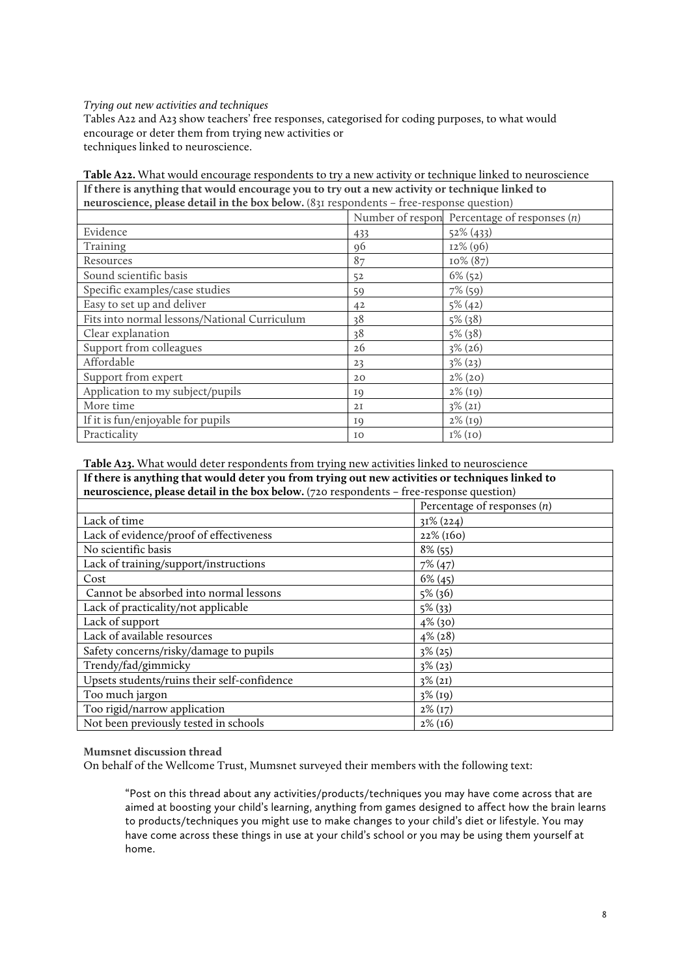### *Trying out new activities and techniques*

Tables A22 and A23 show teachers' free responses, categorised for coding purposes, to what would encourage or deter them from trying new activities or techniques linked to neuroscience.

# **Table A22.** What would encourage respondents to try a new activity or technique linked to neuroscience

| If there is anything that would encourage you to try out a new activity or technique linked to |                |                                                |
|------------------------------------------------------------------------------------------------|----------------|------------------------------------------------|
| neuroscience, please detail in the box below. (83I respondents - free-response question)       |                |                                                |
|                                                                                                |                | Number of respon Percentage of responses $(n)$ |
| Evidence                                                                                       | 433            | $52\%$ (433)                                   |
| Training                                                                                       | 96             | 12% (96)                                       |
| Resources                                                                                      | 87             | $10\% (87)$                                    |
| Sound scientific basis                                                                         | 52             | $6\%$ (52)                                     |
| Specific examples/case studies                                                                 | 59             | 7% (59)                                        |
| Easy to set up and deliver                                                                     | 4 <sup>2</sup> | $5\%$ (42)                                     |
| Fits into normal lessons/National Curriculum                                                   | 38             | $5\%$ (38)                                     |
| Clear explanation                                                                              | 38             | $5\%$ (38)                                     |
| Support from colleagues                                                                        | 26             | $3\%$ (26)                                     |
| Affordable                                                                                     | 23             | $3\%$ (23)                                     |
| Support from expert                                                                            | 20             | $2\%$ (20)                                     |
| Application to my subject/pupils                                                               | I9             | $2\%$ (19)                                     |
| More time                                                                                      | 2I             | $3\%$ (21)                                     |
| If it is fun/enjoyable for pupils                                                              | IQ             | $2\%$ (19)                                     |
| Practicality                                                                                   | I <sub>0</sub> | $I\% (IO)$                                     |

**Table A23.** What would deter respondents from trying new activities linked to neuroscience

| If there is anything that would deter you from trying out new activities or techniques linked to |                               |  |
|--------------------------------------------------------------------------------------------------|-------------------------------|--|
| neuroscience, please detail in the box below. (720 respondents - free-response question)         |                               |  |
|                                                                                                  | Percentage of responses $(n)$ |  |
| Lack of time                                                                                     | $31\% (224)$                  |  |
| Lack of evidence/proof of effectiveness                                                          | 22% (160)                     |  |
| No scientific basis                                                                              | $8\%$ (55)                    |  |
| Lack of training/support/instructions                                                            | $7\%$ (47)                    |  |
| Cost                                                                                             | $6\%$ (45)                    |  |
| Cannot be absorbed into normal lessons                                                           | $5\%$ (36)                    |  |
| Lack of practicality/not applicable                                                              | $5\%$ (33)                    |  |
| Lack of support                                                                                  | $4\%$ (30)                    |  |
| Lack of available resources                                                                      | $4\%$ (28)                    |  |
| Safety concerns/risky/damage to pupils                                                           | $3\%$ (25)                    |  |
| Trendy/fad/gimmicky                                                                              | $3\%$ (23)                    |  |
| Upsets students/ruins their self-confidence                                                      | $3\%$ (21)                    |  |
| Too much jargon                                                                                  | $3\%$ (19)                    |  |
| Too rigid/narrow application                                                                     | $2\%$ (17)                    |  |
| Not been previously tested in schools                                                            | $2\%$ (16)                    |  |

**Mumsnet discussion thread**

On behalf of the Wellcome Trust, Mumsnet surveyed their members with the following text:

"Post on this thread about any activities/products/techniques you may have come across that are aimed at boosting your child's learning, anything from games designed to affect how the brain learns to products/techniques you might use to make changes to your child's diet or lifestyle. You may have come across these things in use at your child's school or you may be using them yourself at home.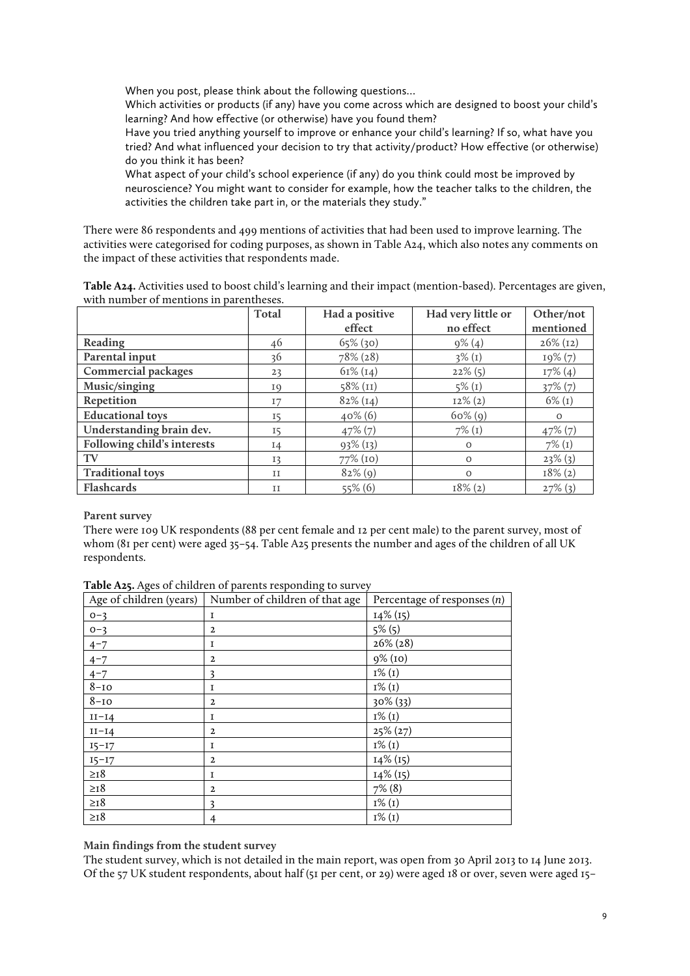When you post, please think about the following questions…

Which activities or products (if any) have you come across which are designed to boost your child's learning? And how effective (or otherwise) have you found them?

Have you tried anything yourself to improve or enhance your child's learning? If so, what have you tried? And what influenced your decision to try that activity/product? How effective (or otherwise) do you think it has been?

What aspect of your child's school experience (if any) do you think could most be improved by neuroscience? You might want to consider for example, how the teacher talks to the children, the activities the children take part in, or the materials they study."

There were 86 respondents and 499 mentions of activities that had been used to improve learning. The activities were categorised for coding purposes, as shown in Table A24, which also notes any comments on the impact of these activities that respondents made.

|                             | Total          | Had a positive<br>effect | Had very little or<br>no effect | Other/not<br>mentioned |
|-----------------------------|----------------|--------------------------|---------------------------------|------------------------|
| Reading                     | 46             | $65\%$ (30)              | $9\%$ (4)                       | $26\%$ (12)            |
| Parental input              | 36             | 78% (28)                 | $3\%$ (1)                       | $19\% (7)$             |
| <b>Commercial packages</b>  | 23             | $61\%$ (14)              | $22\%$ (5)                      | $17\%$ (4)             |
| Music/singing               | I <sup>Q</sup> | 58% (II)                 | $5\%$ (1)                       | $37\%$ $(7)$           |
| Repetition                  | I7             | $82\%$ (14)              | $12\% (2)$                      | $6\%$ (1)              |
| <b>Educational</b> toys     | I5             | $40\%$ (6)               | $60\%$ (9)                      | $\circ$                |
| Understanding brain dev.    | I5             | $47\%$ (7)               | $7\%$ (1)                       | $47\%$ $(7)$           |
| Following child's interests | I4             | $93\%$ (13)              | $\mathbf{O}$                    | $7\%$ (1)              |
| TV                          | I <sub>3</sub> | $77\%$ (10)              | $\circ$                         | $23\%$ (3)             |
| <b>Traditional toys</b>     | <b>II</b>      | $82\%$ (9)               | $\Omega$                        | $18\% (2)$             |
| Flashcards                  | <b>II</b>      | $55\%$ (6)               | $18\%$ (2)                      | $27\%$ (3)             |

**Table A24.** Activities used to boost child's learning and their impact (mention-based). Percentages are given, with number of mentions in parentheses.

#### **Parent survey**

There were 109 UK respondents (88 per cent female and 12 per cent male) to the parent survey, most of whom (81 per cent) were aged 35–54. Table A25 presents the number and ages of the children of all UK respondents.

| Age of children (years) | Number of children of that age | Percentage of responses $(n)$ |  |
|-------------------------|--------------------------------|-------------------------------|--|
| $O-3$                   | I                              | $I4\% (I5)$                   |  |
| $O-3$                   | $\overline{2}$                 | $5\%$ (5)                     |  |
| $4 - 7$                 | I                              | $26\% (28)$                   |  |
| $4 - 7$                 | $\mathbf{2}$                   | $9\%$ (10)                    |  |
| $4 - 7$                 | 3                              | $I\%$ (I)                     |  |
| $8 - 10$                | I                              | $I\%$ (I)                     |  |
| $8-10$                  | $\mathbf{2}$                   | 30% (33)                      |  |
| $II-I4$                 | <b>I</b>                       | $I\%$ (I)                     |  |
| $II-I4$                 | $\mathbf{2}$                   | $25\% (27)$                   |  |
| $15 - 17$               | $\mathbf I$                    | $I\%$ (I)                     |  |
| $I5-I7$                 | $\overline{2}$                 | $I4\% (I5)$                   |  |
| $\geq$ I8               | I                              | $I4\% (I5)$                   |  |
| $\geq$ <sub>I</sub> $8$ | $\overline{2}$                 | $7\%$ (8)                     |  |
| $\geq$ I8               | 3                              | $I\%$ (I)                     |  |
| $\geq$ <sub>I</sub> 8   | 4                              | $I\%$ (I)                     |  |

**Table A25.** Ages of children of parents responding to survey

#### **Main findings from the student survey**

The student survey, which is not detailed in the main report, was open from 30 April 2013 to 14 June 2013. Of the 57 UK student respondents, about half (51 per cent, or 29) were aged 18 or over, seven were aged 15–